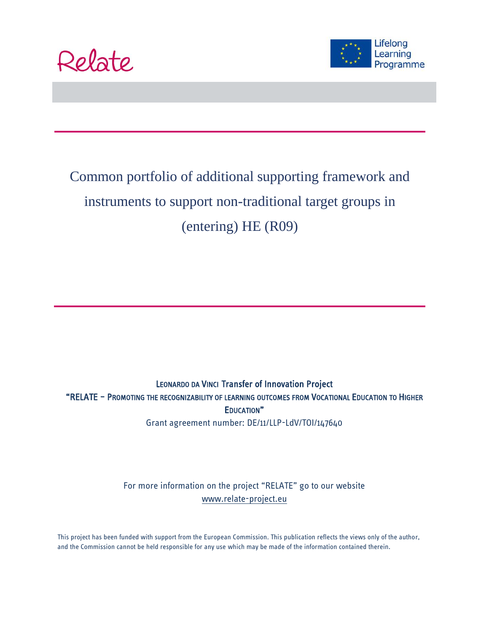



# Common portfolio of additional supporting framework and instruments to support non-traditional target groups in (entering) HE (R09)

LEONARDO DA VINCI Transfer of Innovation Project "RELATE – PROMOTING THE RECOGNIZABILITY OF LEARNING OUTCOMES FROM VOCATIONAL EDUCATION TO HIGHER EDUCATION" Grant agreement number: DE/11/LLP-LdV/TOI/147640

> For more information on the project "RELATE" go to our website [www.relate-project.eu](http://www.relate-project.eu/)

This project has been funded with support from the European Commission. This publication reflects the views only of the author, and the Commission cannot be held responsible for any use which may be made of the information contained therein.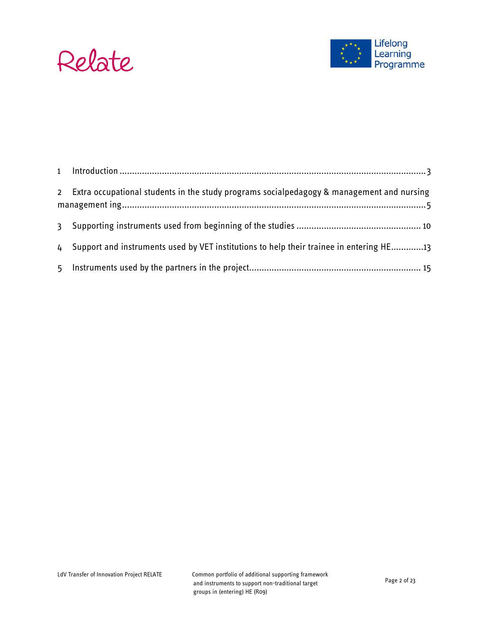

| 2 Extra occupational students in the study programs socialpedagogy & management and nursing |
|---------------------------------------------------------------------------------------------|
|                                                                                             |
| 4 Support and instruments used by VET institutions to help their trainee in entering HE13   |
|                                                                                             |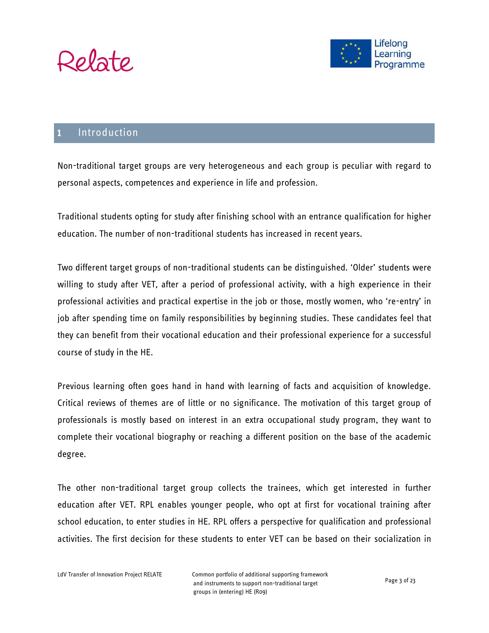

#### **Introduction**

Non-traditional target groups are very heterogeneous and each group is peculiar with regard to personal aspects, competences and experience in life and profession.

Traditional students opting for study after finishing school with an entrance qualification for higher education. The number of non-traditional students has increased in recent years.

Two different target groups of non-traditional students can be distinguished. 'Older' students were willing to study after VET, after a period of professional activity, with a high experience in their professional activities and practical expertise in the job or those, mostly women, who 're-entry' in job after spending time on family responsibilities by beginning studies. These candidates feel that they can benefit from their vocational education and their professional experience for a successful course of study in the HE.

Previous learning often goes hand in hand with learning of facts and acquisition of knowledge. Critical reviews of themes are of little or no significance. The motivation of this target group of professionals is mostly based on interest in an extra occupational study program, they want to complete their vocational biography or reaching a different position on the base of the academic degree.

The other non-traditional target group collects the trainees, which get interested in further education after VET. RPL enables younger people, who opt at first for vocational training after school education, to enter studies in HE. RPL offers a perspective for qualification and professional activities. The first decision for these students to enter VET can be based on their socialization in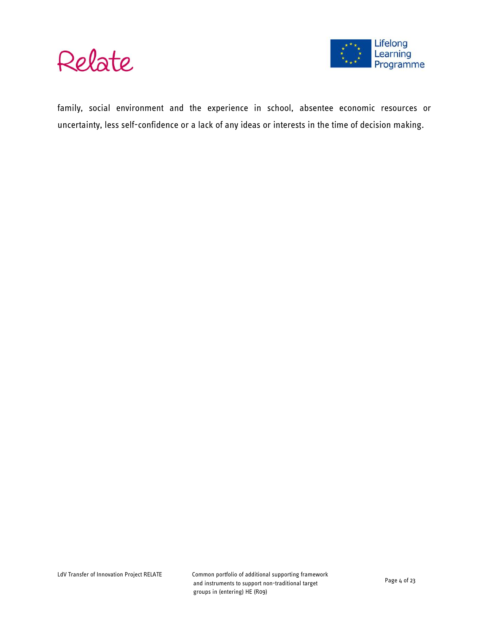



family, social environment and the experience in school, absentee economic resources or uncertainty, less self-confidence or a lack of any ideas or interests in the time of decision making.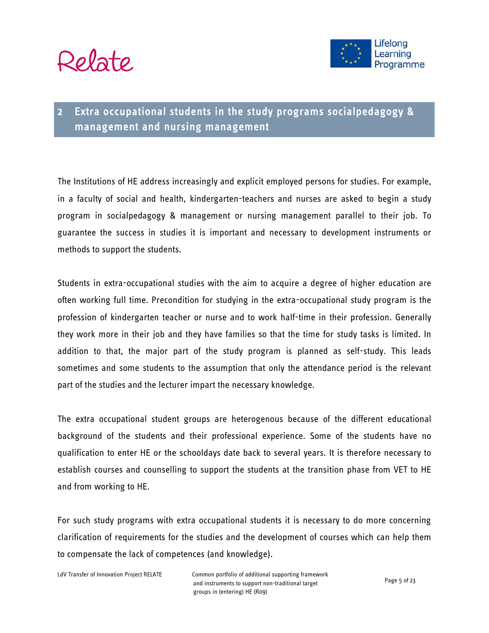



## 2 Extra occupational students in the study programs socialpedagogy & management and nursing management

The Institutions of HE address increasingly and explicit employed persons for studies. For example, in a faculty of social and health, kindergarten-teachers and nurses are asked to begin a study program in socialpedagogy & management or nursing management parallel to their job. To guarantee the success in studies it is important and necessary to development instruments or methods to support the students.

Students in extra-occupational studies with the aim to acquire a degree of higher education are often working full time. Precondition for studying in the extra-occupational study program is the profession of kindergarten teacher or nurse and to work half-time in their profession. Generally they work more in their job and they have families so that the time for study tasks is limited. In addition to that, the major part of the study program is planned as self-study. This leads sometimes and some students to the assumption that only the attendance period is the relevant part of the studies and the lecturer impart the necessary knowledge.

The extra occupational student groups are heterogenous because of the different educational background of the students and their professional experience. Some of the students have no qualification to enter HE or the schooldays date back to several years. It is therefore necessary to establish courses and counselling to support the students at the transition phase from VET to HE and from working to HE.

For such study programs with extra occupational students it is necessary to do more concerning clarification of requirements for the studies and the development of courses which can help them [to](https://dict.leo.org/#/search=to&searchLoc=0&resultOrder=basic&multiwordShowSingle=on) [compensate](https://dict.leo.org/#/search=compensate&searchLoc=0&resultOrder=basic&multiwordShowSingle=on) the lack of competences (and knowledge).

LdV Transfer of Innovation Project RELATE Common portfolio of additional supporting framework and instruments to support non-traditional target groups in (entering) HE (R09)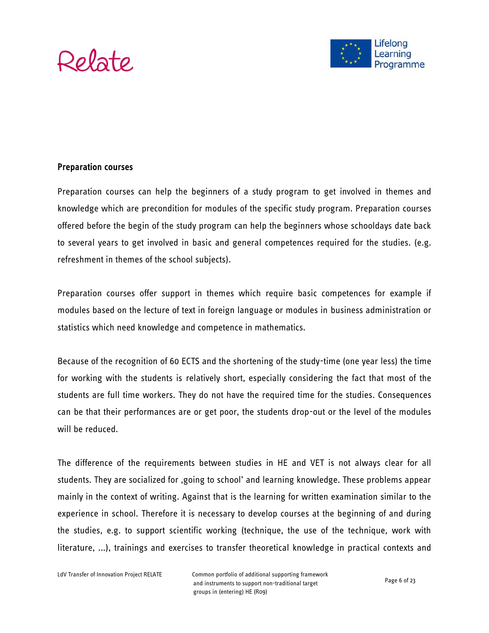

#### Preparation courses

Preparation courses can help the beginners of a study program to get involved in themes and knowledge which are precondition for modules of the specific study program. Preparation courses offered before the begin of the study program can help the beginners whose schooldays date back to several years to get involved in basic and general competences required for the studies. (e.g. refreshment in themes of the school subjects).

Preparation courses offer support in themes which require basic competences for example if modules based on the lecture of text in foreign language or modules in [business](https://dict.leo.org/#/search=business&searchLoc=0&resultOrder=basic&multiwordShowSingle=on) [administration](https://dict.leo.org/#/search=administration&searchLoc=0&resultOrder=basic&multiwordShowSingle=on) or statistics which need knowledge and competence in mathematics.

Because of the recognition of 60 ECTS and the shortening of the study-time (one year less) the time for working with the students is relatively short, especially [considering](https://dict.leo.org/#/search=against&searchLoc=0&resultOrder=basic&multiwordShowSingle=on) [the](https://dict.leo.org/#/search=the&searchLoc=0&resultOrder=basic&multiwordShowSingle=on) [fact](https://dict.leo.org/#/search=background&searchLoc=0&resultOrder=basic&multiwordShowSingle=on) that most of the students are full time workers. They do not have the required time for the studies. Consequences can be that their performances are or get poor, the students drop-out or the level of the modules will be reduced.

The difference of the requirements between studies in HE and VET is not always clear for all students. They are socialized for ,going to school' and learning knowledge. These problems appear mainly in the context of writing. Against that is the learning for written examination similar to the experience in school. Therefore it is necessary to develop courses at the beginning of and during the studies, e.g. to support scientific working (technique, the use of the technique, work with literature, ...), trainings and exercises to transfer theoretical knowledge in practical contexts and

LdV Transfer of Innovation Project RELATE Common portfolio of additional supporting framework and instruments to support non-traditional target groups in (entering) HE (R09)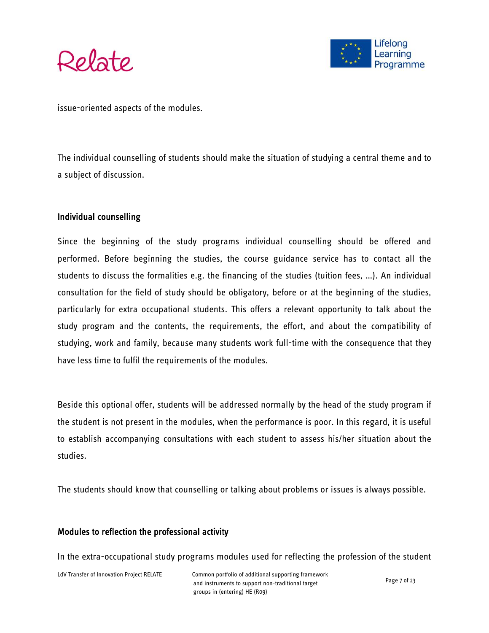



issue-oriented aspects of the modules.

The individual counselling of students should make the situation of studying a central theme and to a subject of discussion.

#### Individual counselling

Since the beginning of the study programs individual counselling should be offered and performed. Before beginning the studies, the course guidance service has to contact all the students to discuss the formalities e.g. the financing of the studies (tuition fees, …). An individual consultation for the field of study should be obligatory, before or at the beginning of the studies, particularly for extra occupational students. This offers a relevant opportunity to talk about the study program and the contents, the requirements, the effort, and about the compatibility of studying, work and family, because many students work full-time with the consequence that they have less time to fulfil the requirements of the modules.

Beside this optional offer, students will be addressed normally by the head of the study program if the student is not present in the modules, when the performance is poor. In this regard, it is useful to establish accompanying consultations with each student to assess his/her situation about the studies.

The students should know that counselling or talking about problems or issues is always possible.

#### Modules to reflection the professional activity

In the extra-occupational study programs modules used for reflecting the profession of the student

LdV Transfer of Innovation Project RELATE Common portfolio of additional supporting framework and instruments to support non-traditional target groups in (entering) HE (R09)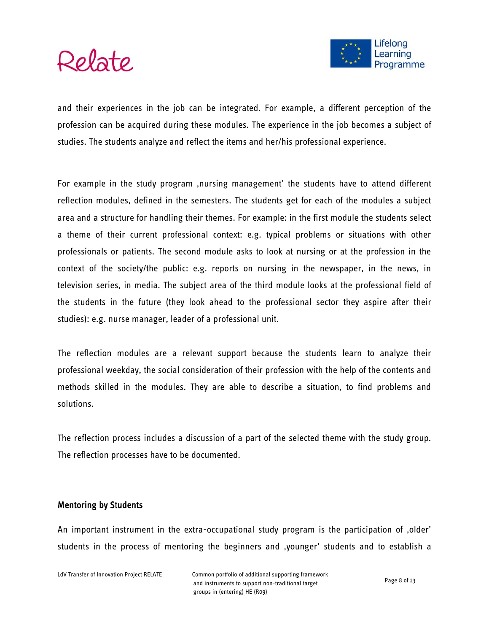



and their experiences in the job can be integrated. For example, a different perception of the profession can be acquired during these modules. The experience in the job becomes a subject of studies. The students analyze and reflect the items and her/his professional experience.

For example in the study program ,nursing management' the students have to attend different reflection modules, defined in the semesters. The students get for each of the modules a subject area and a structure for handling their themes. For example: in the first module the students select a theme of their current professional context: e.g. typical problems or situations with other professionals or patients. The second module asks to look at nursing or at the profession in the context of the society/the public: e.g. reports on nursing in the newspaper, in the news, in television series, in media. The subject area of the third module looks at the professional field of the students in the future (they look ahead to the professional sector they aspire after their studies): e.g. nurse manager, leader of a professional unit.

The reflection modules are a relevant support because the students learn to analyze their professional weekday, the social consideration of their profession with the help of the contents and methods skilled in the modules. They are able to describe a situation, to find problems and solutions.

The reflection process includes a discussion of a part of the selected theme with the study group. The reflection processes have to be documented.

#### Mentoring by Students

An important instrument in the extra-occupational study program is the participation of older' students in the process of mentoring the beginners and 'younger' students and to establish a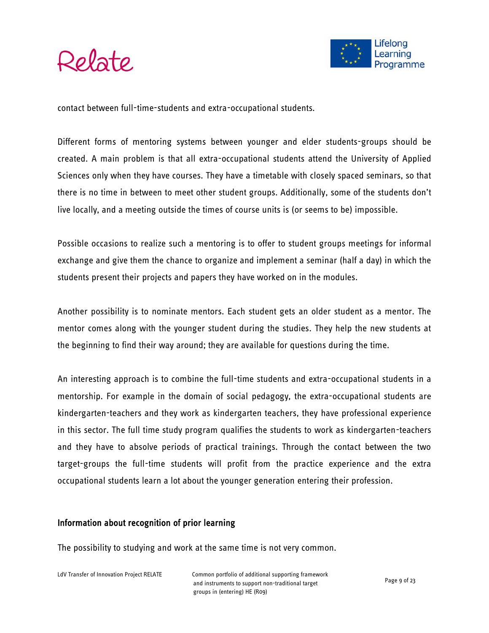



contact between full-time-students and extra-occupational students.

Different forms of mentoring systems between younger and elder students-groups should be created. A main problem is that all extra-occupational students attend the University of Applied Sciences only when they have courses. They have a timetable with closely spaced seminars, so that there is no time in between to meet other student groups. Additionally, some of the students don't live locally, and a meeting outside the times of course units is (or seems to be) impossible.

Possible occasions to realize such a mentoring is to offer to student groups meetings for informal exchange and give them the chance to organize and implement a seminar (half a day) in which the students present their projects and papers they have worked on in the modules.

Another possibility is to nominate mentors. Each student gets an older student as a mentor. The mentor comes along with the younger student during the studies. They help the new students at the beginning to find their way around; they are available for questions during the time.

An interesting approach is to combine the full-time students and extra-occupational students in a mentorship. For example in the domain of social pedagogy, the extra-occupational students are kindergarten-teachers and they work as kindergarten teachers, they have professional experience in this sector. The full time study program qualifies the students to work as kindergarten-teachers and they have to absolve periods of practical trainings. Through the contact between the two target-groups the full-time students will profit from the practice experience and the extra occupational students learn a lot about the younger generation entering their profession.

#### Information about recognition of prior learning

The possibility to studying and work at the same time is not very common.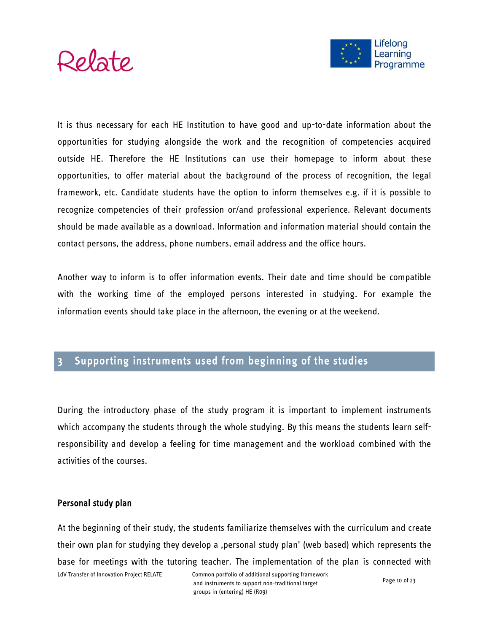



It is thus necessary for each HE Institution to have good and up-to-date information about the opportunities for studying alongside the work and the recognition of competencies acquired outside HE. Therefore the HE Institutions can use their homepage to inform about these opportunities, to offer material about the background of the process of recognition, the legal framework, etc. Candidate students have the option to inform themselves e.g. if it is possible to recognize competencies of their profession or/and professional experience. Relevant documents should be made available as a download. Information and information material should contain the contact persons, the address, phone numbers, email address and the office hours.

Another way to inform is to offer information events. Their date and time should be compatible with the working time of the employed persons interested in studying. For example the information events should take place in the afternoon, the evening or at the weekend.

### 3 Supporting instruments used from beginning of the studies

During the introductory phase of the study program it is important to implement instruments which accompany the students through the whole studying. By this means the students learn selfresponsibility and develop a feeling for time management and the workload combined with the activities of the courses.

#### Personal study plan

At the beginning of their study, the students familiarize themselves with the curriculum and create their own plan for studying they develop a ,personal study plan' (web based) which represents the base for meetings with the tutoring teacher. The implementation of the plan is connected with

LdV Transfer of Innovation Project RELATE Common portfolio of additional supporting framework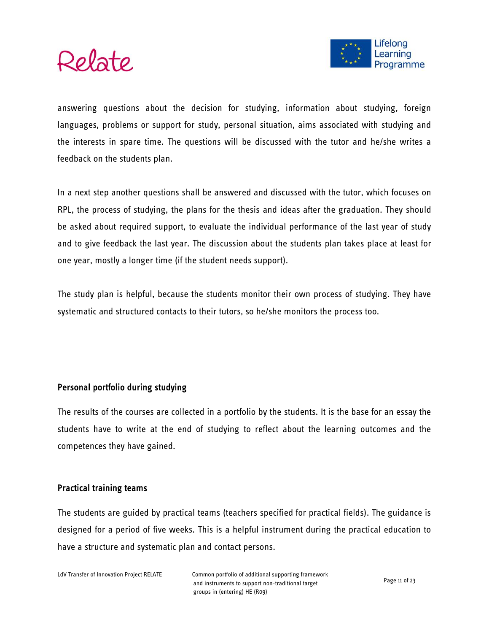



answering questions about the decision for studying, information about studying, foreign languages, problems or support for study, personal situation, aims associated with studying and the interests in spare time. The questions will be discussed with the tutor and he/she writes a feedback on the students plan.

In a next step another questions shall be answered and discussed with the tutor, which focuses on RPL, the process of studying, the plans for the thesis and ideas after the graduation. They should be asked about required support, to evaluate the individual performance of the last year of study and to give feedback the last year. The discussion about the students plan takes place at least for one year, mostly a longer time (if the student needs support).

The study plan is helpful, because the students monitor their own process of studying. They have systematic and structured contacts to their tutors, so he/she monitors the process too.

#### Personal portfolio during studying

The results of the courses are collected in a portfolio by the students. It is the base for an essay the students have to write at the end of studying to reflect about the learning outcomes and the competences they have gained.

#### Practical training teams

The students are guided by practical teams (teachers specified for practical fields). The guidance is designed for a period of five weeks. This is a helpful instrument during the practical education to have a structure and systematic plan and contact persons.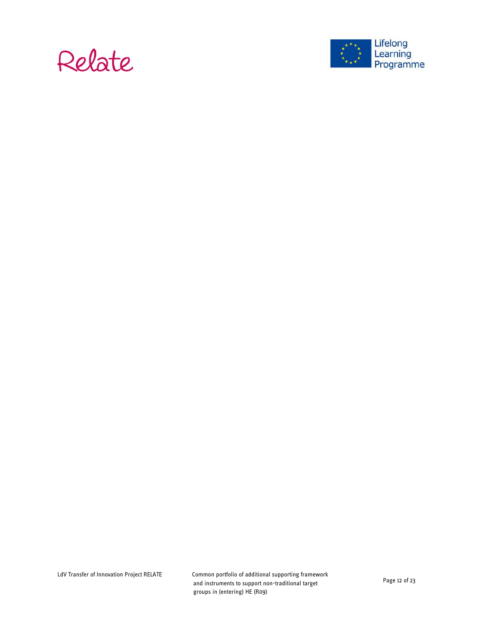



LdV Transfer of Innovation Project RELATE Common portfolio of additional supporting framework and instruments to support non-traditional target groups in (entering) HE (R09)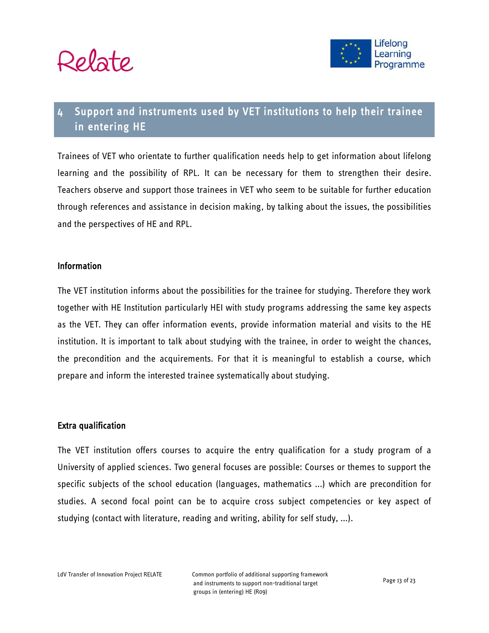



## 4 Support and instruments used by VET institutions to help their trainee in entering HE

Trainees of VET who orientate to further qualification needs help to get information about lifelong learning and the possibility of RPL. It can be necessary for them to strengthen their desire. Teachers observe and support those trainees in VET who seem to be suitable for further education through references and assistance in decision making, by talking about the issues, the possibilities and the perspectives of HE and RPL.

#### Information

The VET institution informs about the possibilities for the trainee for studying. Therefore they work together with HE Institution particularly HEI with study programs addressing the same key aspects as the VET. They can offer information events, provide information material and visits to the HE institution. It is important to talk about studying with the trainee, in order to weight the chances, the precondition and the acquirements. For that it is meaningful to establish a course, which prepare and inform the interested trainee systematically about studying.

#### Extra qualification

The VET institution offers courses to acquire the entry qualification for a study program of a University of applied sciences. Two general focuses are possible: Courses or themes to support the specific subjects of the school education (languages, mathematics ...) which are precondition for studies. A second focal point can be to acquire cross subject competencies or key aspect of studying (contact with literature, reading and writing, ability for self study, ...).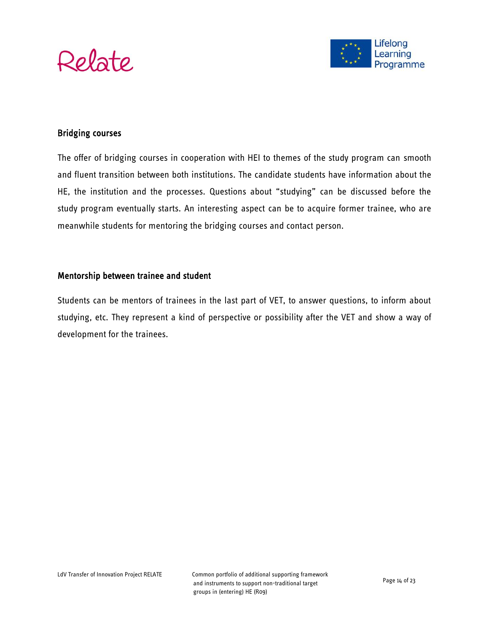



#### Bridging courses

The offer of bridging courses in cooperation with HEI to themes of the study program can smooth and fluent transition between both institutions. The candidate students have information about the HE, the institution and the processes. Questions about "studying" can be discussed before the study program eventually starts. An interesting aspect can be to acquire former trainee, who are meanwhile students for mentoring the bridging courses and contact person.

#### Mentorship between trainee and student

Students can be mentors of trainees in the last part of VET, to answer questions, to inform about studying, etc. They represent a kind of perspective or possibility after the VET and show a way of development for the trainees.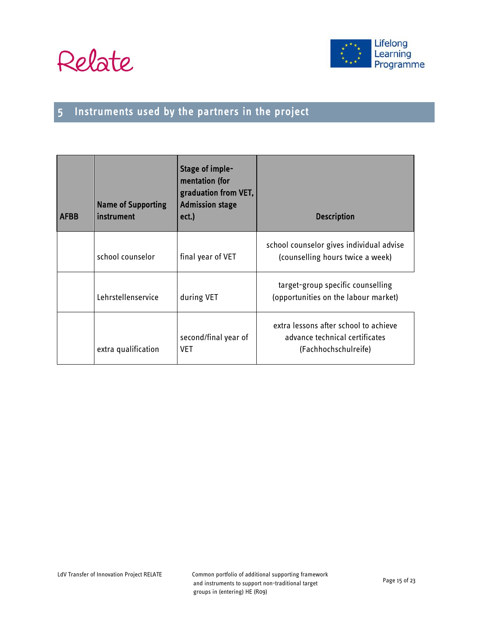



## 5 Instruments used by the partners in the project

| <b>AFBB</b> | <b>Name of Supporting</b><br>instrument | Stage of imple-<br>mentation (for<br>graduation from VET,<br><b>Admission stage</b><br>ect.) | <b>Description</b>                                                                              |
|-------------|-----------------------------------------|----------------------------------------------------------------------------------------------|-------------------------------------------------------------------------------------------------|
|             | school counselor                        | final year of VET                                                                            | school counselor gives individual advise<br>(counselling hours twice a week)                    |
|             | Lehrstellenservice                      | during VET                                                                                   | target-group specific counselling<br>(opportunities on the labour market)                       |
|             | extra qualification                     | second/final year of<br>VET                                                                  | extra lessons after school to achieve<br>advance technical certificates<br>(Fachhochschulreife) |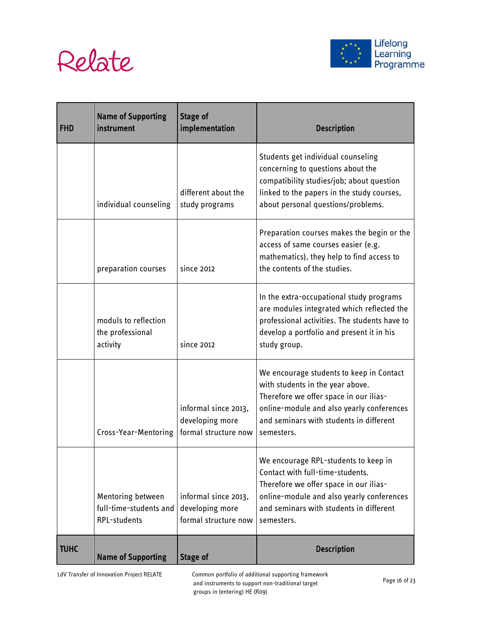



| <b>FHD</b>  | <b>Name of Supporting</b><br>instrument                     | <b>Stage of</b><br>implementation                               | <b>Description</b>                                                                                                                                                                                                           |
|-------------|-------------------------------------------------------------|-----------------------------------------------------------------|------------------------------------------------------------------------------------------------------------------------------------------------------------------------------------------------------------------------------|
|             | individual counseling                                       | different about the<br>study programs                           | Students get individual counseling<br>concerning to questions about the<br>compatibility studies/job; about question<br>linked to the papers in the study courses,<br>about personal questions/problems.                     |
|             | preparation courses                                         | since 2012                                                      | Preparation courses makes the begin or the<br>access of same courses easier (e.g.<br>mathematics), they help to find access to<br>the contents of the studies.                                                               |
|             | moduls to reflection<br>the professional<br>activity        | since 2012                                                      | In the extra-occupational study programs<br>are modules integrated which reflected the<br>professional activities. The students have to<br>develop a portfolio and present it in his<br>study group.                         |
|             | Cross-Year-Mentoring                                        | informal since 2013,<br>developing more<br>formal structure now | We encourage students to keep in Contact<br>with students in the year above.<br>Therefore we offer space in our ilias-<br>online-module and also yearly conferences<br>and seminars with students in different<br>semesters. |
|             | Mentoring between<br>full-time-students and<br>RPL-students | informal since 2013,<br>developing more<br>formal structure now | We encourage RPL-students to keep in<br>Contact with full-time-students.<br>Therefore we offer space in our ilias-<br>online-module and also yearly conferences<br>and seminars with students in different<br>semesters.     |
| <b>TUHC</b> | <b>Name of Supporting</b>                                   | <b>Stage of</b>                                                 | <b>Description</b>                                                                                                                                                                                                           |

LdV Transfer of Innovation Project RELATE Common portfolio of additional supporting framework and instruments to support non-traditional target groups in (entering) HE (R09)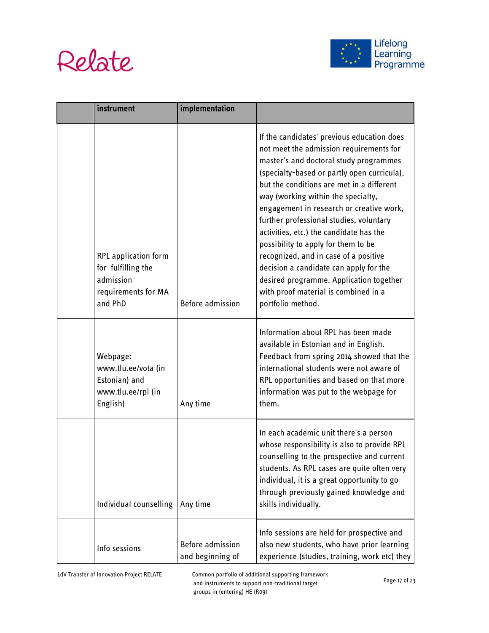



| instrument                                                                                | implementation                       |                                                                                                                                                                                                                                                                                                                                                                                                                                                                                                                                                                                                                                       |
|-------------------------------------------------------------------------------------------|--------------------------------------|---------------------------------------------------------------------------------------------------------------------------------------------------------------------------------------------------------------------------------------------------------------------------------------------------------------------------------------------------------------------------------------------------------------------------------------------------------------------------------------------------------------------------------------------------------------------------------------------------------------------------------------|
| RPL application form<br>for fulfilling the<br>admission<br>requirements for MA<br>and PhD | Before admission                     | If the candidates' previous education does<br>not meet the admission requirements for<br>master's and doctoral study programmes<br>(specialty-based or partly open curricula),<br>but the conditions are met in a different<br>way (working within the specialty,<br>engagement in research or creative work,<br>further professional studies, voluntary<br>activities, etc.) the candidate has the<br>possibility to apply for them to be<br>recognized, and in case of a positive<br>decision a candidate can apply for the<br>desired programme. Application together<br>with proof material is combined in a<br>portfolio method. |
| Webpage:<br>www.tlu.ee/vota (in<br>Estonian) and<br>www.tlu.ee/rpl (in<br>English)        | Any time                             | Information about RPL has been made<br>available in Estonian and in English.<br>Feedback from spring 2014 showed that the<br>international students were not aware of<br>RPL opportunities and based on that more<br>information was put to the webpage for<br>them.                                                                                                                                                                                                                                                                                                                                                                  |
| Individual counselling                                                                    | Any time                             | In each academic unit there's a person<br>whose responsibility is also to provide RPL<br>counselling to the prospective and current<br>students. As RPL cases are quite often very<br>individual, it is a great opportunity to go<br>through previously gained knowledge and<br>skills individually.                                                                                                                                                                                                                                                                                                                                  |
| Info sessions                                                                             | Before admission<br>and beginning of | Info sessions are held for prospective and<br>also new students, who have prior learning<br>experience (studies, training, work etc) they                                                                                                                                                                                                                                                                                                                                                                                                                                                                                             |

LdV Transfer of Innovation Project RELATE Common portfolio of additional supporting framework and instruments to support non-traditional target groups in (entering) HE (R09)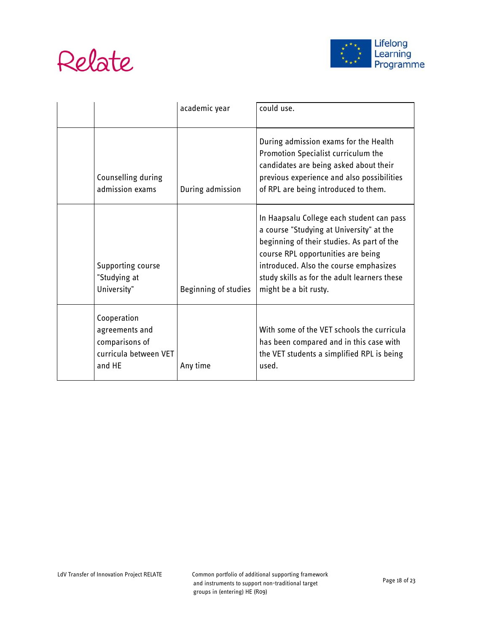



|                                                                                    | academic year        | could use.                                                                                                                                                                                                                                                                                   |
|------------------------------------------------------------------------------------|----------------------|----------------------------------------------------------------------------------------------------------------------------------------------------------------------------------------------------------------------------------------------------------------------------------------------|
| Counselling during<br>admission exams                                              | During admission     | During admission exams for the Health<br>Promotion Specialist curriculum the<br>candidates are being asked about their<br>previous experience and also possibilities<br>of RPL are being introduced to them.                                                                                 |
| Supporting course<br>"Studying at<br>University"                                   | Beginning of studies | In Haapsalu College each student can pass<br>a course "Studying at University" at the<br>beginning of their studies. As part of the<br>course RPL opportunities are being<br>introduced. Also the course emphasizes<br>study skills as for the adult learners these<br>might be a bit rusty. |
| Cooperation<br>agreements and<br>comparisons of<br>curricula between VET<br>and HE | Any time             | With some of the VET schools the curricula<br>has been compared and in this case with<br>the VET students a simplified RPL is being<br>used.                                                                                                                                                 |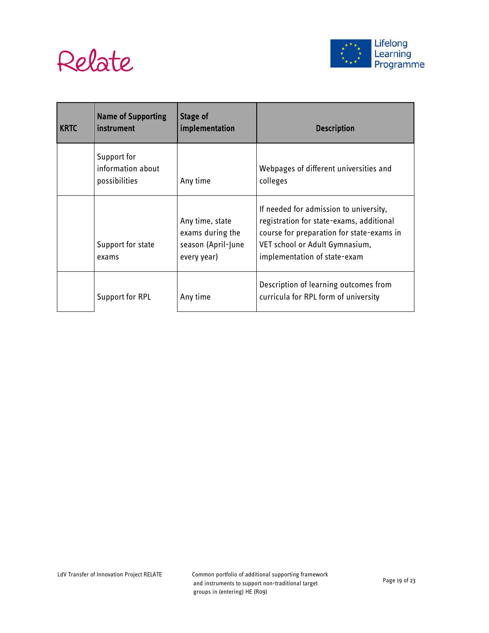



| <b>KRTC</b> | <b>Name of Supporting</b><br>instrument           | Stage of<br>implementation                                               | <b>Description</b>                                                                                                                                                                                |
|-------------|---------------------------------------------------|--------------------------------------------------------------------------|---------------------------------------------------------------------------------------------------------------------------------------------------------------------------------------------------|
|             | Support for<br>information about<br>possibilities | Any time                                                                 | Webpages of different universities and<br>colleges                                                                                                                                                |
|             | Support for state<br>exams                        | Any time, state<br>exams during the<br>season (April-June<br>every year) | If needed for admission to university,<br>registration for state-exams, additional<br>course for preparation for state-exams in<br>VET school or Adult Gymnasium,<br>implementation of state-exam |
|             | Support for RPL                                   | Any time                                                                 | Description of learning outcomes from<br>curricula for RPL form of university                                                                                                                     |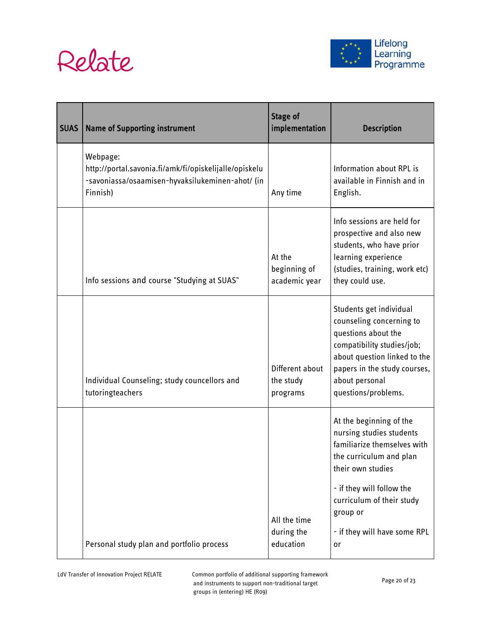



| <b>SUAS</b> | <b>Name of Supporting instrument</b>                                                                                               | <b>Stage of</b><br>implementation        | <b>Description</b>                                                                                                                                                                                                |
|-------------|------------------------------------------------------------------------------------------------------------------------------------|------------------------------------------|-------------------------------------------------------------------------------------------------------------------------------------------------------------------------------------------------------------------|
|             | Webpage:<br>http://portal.savonia.fi/amk/fi/opiskelijalle/opiskelu<br>-savoniassa/osaamisen-hyvaksilukeminen-ahot/ (in<br>Finnish) | Any time                                 | Information about RPL is<br>available in Finnish and in<br>English.                                                                                                                                               |
|             | Info sessions and course "Studying at SUAS"                                                                                        | At the<br>beginning of<br>academic year  | Info sessions are held for<br>prospective and also new<br>students, who have prior<br>learning experience<br>(studies, training, work etc)<br>they could use.                                                     |
|             | Individual Counseling; study councellors and<br>tutoringteachers                                                                   | Different about<br>the study<br>programs | Students get individual<br>counseling concerning to<br>questions about the<br>compatibility studies/job;<br>about question linked to the<br>papers in the study courses,<br>about personal<br>questions/problems. |
|             |                                                                                                                                    |                                          | At the beginning of the<br>nursing studies students<br>familiarize themselves with<br>the curriculum and plan<br>their own studies                                                                                |
|             | Personal study plan and portfolio process                                                                                          | All the time<br>during the<br>education  | - if they will follow the<br>curriculum of their study<br>group or<br>- if they will have some RPL<br>or                                                                                                          |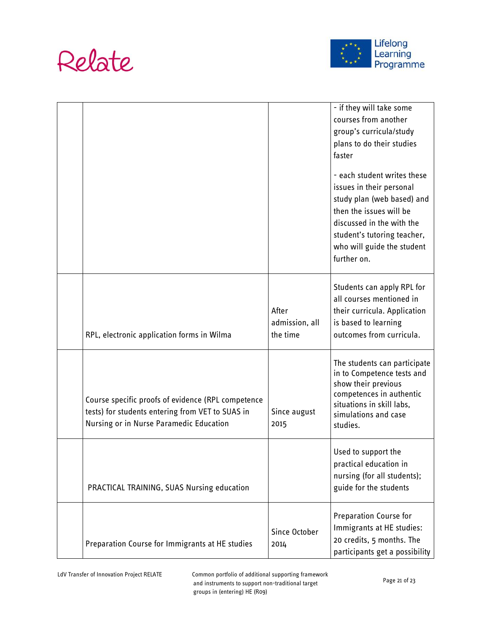



|                                                                                                                                                   |                                     | - if they will take some<br>courses from another<br>group's curricula/study<br>plans to do their studies<br>faster<br>- each student writes these<br>issues in their personal<br>study plan (web based) and<br>then the issues will be<br>discussed in the with the<br>student's tutoring teacher,<br>who will guide the student<br>further on. |
|---------------------------------------------------------------------------------------------------------------------------------------------------|-------------------------------------|-------------------------------------------------------------------------------------------------------------------------------------------------------------------------------------------------------------------------------------------------------------------------------------------------------------------------------------------------|
| RPL, electronic application forms in Wilma                                                                                                        | After<br>admission, all<br>the time | Students can apply RPL for<br>all courses mentioned in<br>their curricula. Application<br>is based to learning<br>outcomes from curricula.                                                                                                                                                                                                      |
| Course specific proofs of evidence (RPL competence<br>tests) for students entering from VET to SUAS in<br>Nursing or in Nurse Paramedic Education | Since august<br>2015                | The students can participate<br>in to Competence tests and<br>show their previous<br>competences in authentic<br>situations in skill labs,<br>simulations and case<br>studies.                                                                                                                                                                  |
| PRACTICAL TRAINING, SUAS Nursing education                                                                                                        |                                     | Used to support the<br>practical education in<br>nursing (for all students);<br>guide for the students                                                                                                                                                                                                                                          |
| Preparation Course for Immigrants at HE studies                                                                                                   | Since October<br>2014               | <b>Preparation Course for</b><br>Immigrants at HE studies:<br>20 credits, 5 months. The<br>participants get a possibility                                                                                                                                                                                                                       |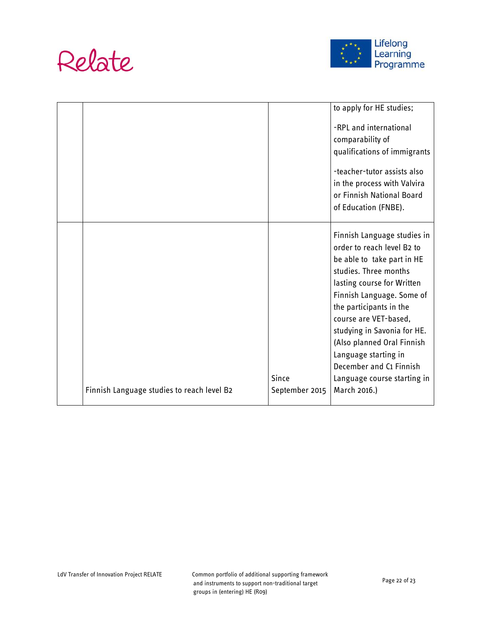



|                                            |                         | -RPL and international<br>comparability of<br>qualifications of immigrants<br>-teacher-tutor assists also<br>in the process with Valvira<br>or Finnish National Board<br>of Education (FNBE).                                                                                                                                                                                                  |
|--------------------------------------------|-------------------------|------------------------------------------------------------------------------------------------------------------------------------------------------------------------------------------------------------------------------------------------------------------------------------------------------------------------------------------------------------------------------------------------|
| Finnish Language studies to reach level B2 | Since<br>September 2015 | Finnish Language studies in<br>order to reach level B2 to<br>be able to take part in HE<br>studies. Three months<br>lasting course for Written<br>Finnish Language. Some of<br>the participants in the<br>course are VET-based,<br>studying in Savonia for HE.<br>(Also planned Oral Finnish<br>Language starting in<br>December and C1 Finnish<br>Language course starting in<br>March 2016.) |